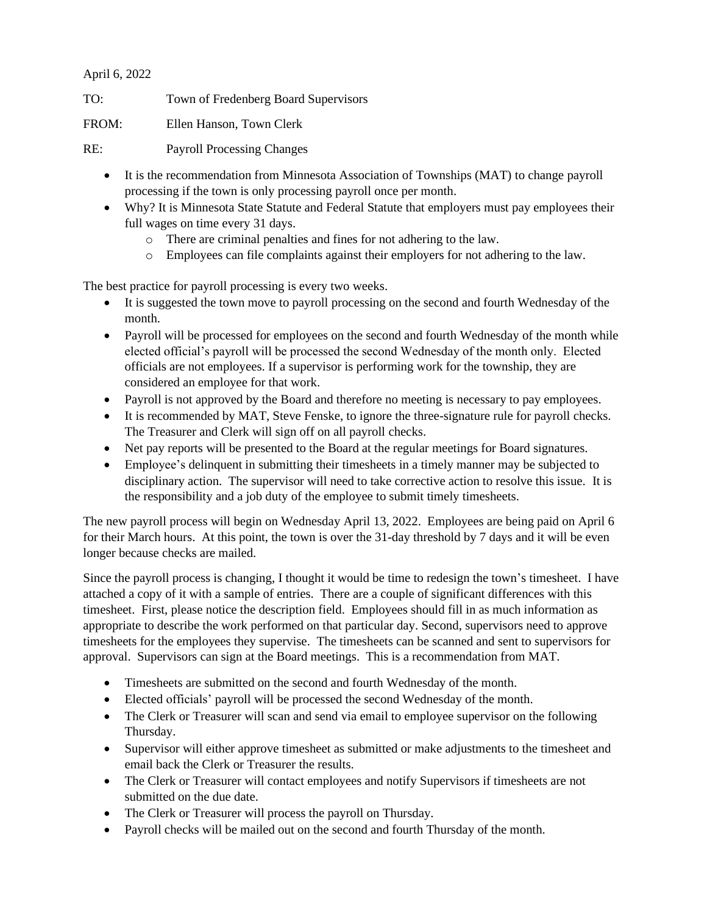## April 6, 2022

TO: Town of Fredenberg Board Supervisors

FROM: Ellen Hanson, Town Clerk

RE: Payroll Processing Changes

- It is the recommendation from Minnesota Association of Townships (MAT) to change payroll processing if the town is only processing payroll once per month.
- Why? It is Minnesota State Statute and Federal Statute that employers must pay employees their full wages on time every 31 days.
	- o There are criminal penalties and fines for not adhering to the law.
	- o Employees can file complaints against their employers for not adhering to the law.

The best practice for payroll processing is every two weeks.

- It is suggested the town move to payroll processing on the second and fourth Wednesday of the month.
- Payroll will be processed for employees on the second and fourth Wednesday of the month while elected official's payroll will be processed the second Wednesday of the month only. Elected officials are not employees. If a supervisor is performing work for the township, they are considered an employee for that work.
- Payroll is not approved by the Board and therefore no meeting is necessary to pay employees.
- It is recommended by MAT, Steve Fenske, to ignore the three-signature rule for payroll checks. The Treasurer and Clerk will sign off on all payroll checks.
- Net pay reports will be presented to the Board at the regular meetings for Board signatures.
- Employee's delinquent in submitting their timesheets in a timely manner may be subjected to disciplinary action. The supervisor will need to take corrective action to resolve this issue. It is the responsibility and a job duty of the employee to submit timely timesheets.

The new payroll process will begin on Wednesday April 13, 2022. Employees are being paid on April 6 for their March hours. At this point, the town is over the 31-day threshold by 7 days and it will be even longer because checks are mailed.

Since the payroll process is changing, I thought it would be time to redesign the town's timesheet. I have attached a copy of it with a sample of entries. There are a couple of significant differences with this timesheet. First, please notice the description field. Employees should fill in as much information as appropriate to describe the work performed on that particular day. Second, supervisors need to approve timesheets for the employees they supervise. The timesheets can be scanned and sent to supervisors for approval. Supervisors can sign at the Board meetings. This is a recommendation from MAT.

- Timesheets are submitted on the second and fourth Wednesday of the month.
- Elected officials' payroll will be processed the second Wednesday of the month.
- The Clerk or Treasurer will scan and send via email to employee supervisor on the following Thursday.
- Supervisor will either approve timesheet as submitted or make adjustments to the timesheet and email back the Clerk or Treasurer the results.
- The Clerk or Treasurer will contact employees and notify Supervisors if timesheets are not submitted on the due date.
- The Clerk or Treasurer will process the payroll on Thursday.
- Payroll checks will be mailed out on the second and fourth Thursday of the month.